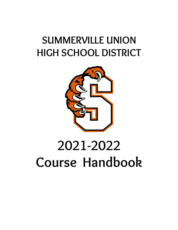## **SUMMERVILLE UNION HIGH SCHOOL DISTRICT**



# **2021-2022 Course Handbook**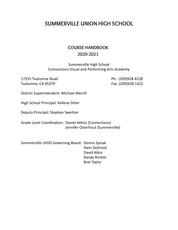## **SUMMERVILLE UNION HIGH SCHOOL**

## **COURSE HANDBOOK 2020-2021**

Summerville High School Connections Visual and Performing Arts Academy

17555 Tuolumne Road Ph: (209)928-4228 Tuolumne, CA 95379 Fax: (209)928-1422

District Superintendent: Michael Merrill

High School Principal: Kellene Ditler

Deputy Principal: Stephen Sweitzer

Grade Level Coordinators: Daniel Atkins (Connections) Jennifer Osterhout (Summerville)

Summerville UHSD Governing Board: Dennis Spisak Hans DeGroot David Atkin Randy Richter Bret Taylor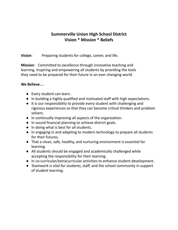## **Summerville Union High School District Vision \* Mission \* Beliefs**

**Vision**: Preparing students for college, career, and life.

**Mission**: Committed to excellence through innovative teaching and learning. Inspiring and empowering all students by providing the tools they need to be prepared for their future in an ever changing world.

#### **We Believe…**

- Every student can learn.
- In building a highly qualified and motivated staff with high expectations.
- It is our responsibility to provide every student with challenging and rigorous experiences so that they can become critical thinkers and problem solvers.
- In continually improving all aspects of the organization.
- In sound financial planning to achieve district goals.
- In doing what is best for all students.
- In engaging in and adapting to modern technology to prepare all students for their futures.
- That a clean, safe, healthy, and nurturing environment is essential for learning.
- All students should be engaged and academically challenged while accepting the responsibility for their learning.
- In co-curricular/extracurricular activities to enhance student development.
- Teamwork is vital for students, staff, and the school community in support of student learning.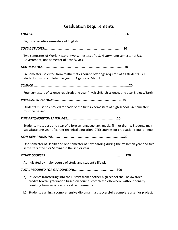## **Graduation Requirements**

#### *ENGLISH:……………………………………………………………………..***40**

Eight consecutive semesters of English

#### *SOCIAL STUDIES:…………………………………………………………..***30**

Two semesters of World History; two semesters of U.S. History; one semester of U.S. Government; one semester of Econ/Civics.

#### *MATHEMATICS:…………………………………………………………….***30**

Six semesters selected from mathematics course offerings required of all students. All students must complete one year of Algebra or Math I.

*SCIENCE:…………………………………………………………………….....***20**

Four semesters of science required: one year Physical/Earth science, one year Biology/Earth

#### *PHYSICAL EDUCATION:…………………………………………………...***30**

Students must be enrolled for each of the first six semesters of high school. Six semesters must be passed.

#### *FINE ARTS/FOREIGN LANGUAGE:……………………………………***10**

Students must pass one year of a foreign language, art, music, film or drama. Students may substitute one year of career technical education (CTE) courses for graduation requirements.

#### *NON-DEPARTMENTAL:…………………………………………………….***20**

One semester of Health and one semester of Keyboarding during the freshman year and two semesters of Senior Seminar in the senior year.

*OTHER COURSES:…………………………………………………….....…..***120**

As indicated by major course of study and student's life plan.

#### *TOTAL REQUIRED FOR GRADUATION:…………………….…………***300**

- a) Students transferring into the District from another high school shall be awarded credits toward graduation based on courses completed elsewhere without penalty resulting from variation of local requirements.
- b) Students earning a comprehensive diploma must successfully complete a senior project.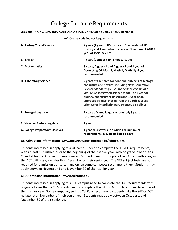## **College Entrance Requirements**

#### **UNIVERSITY OF CALIFORNIA/ CALIFORNIA STATE UNIVERSITY SUBJECT REQUIREMENTS**

A-G Coursework Subject Requirements

| A. History/Social Science               | 2 years (1 year of US History or 1 semester of US<br>History and 1 semester of civics or Government AND 1<br>year of social science                                                                                                                                                                                                                                              |
|-----------------------------------------|----------------------------------------------------------------------------------------------------------------------------------------------------------------------------------------------------------------------------------------------------------------------------------------------------------------------------------------------------------------------------------|
| <b>B.</b> English                       | 4 years (Composition, Literature, etc.)                                                                                                                                                                                                                                                                                                                                          |
| C. Mathematics                          | 3 years, Algebra 1 and Algebra 2 and 1 year of<br>Geometry; OR Math I, Math II, Math III; 4 years<br>recommended                                                                                                                                                                                                                                                                 |
| D. Laboratory Science                   | 2 years of the three foundational subjects of biology,<br>chemistry, and physics, including Next Generation<br>Science Standards [NGSS] models; or 2 years of a 3<br>year NGSS integrated science model; or 1 year of<br>biology, chemistry or physics and 1 year of an<br>approved science chosen from the earth & space<br>sciences or interdisciplinary sciences disciplines. |
| E. Foreign Language                     | 2 years of same language required; 3 years<br>recommended                                                                                                                                                                                                                                                                                                                        |
| F. Visual or Performing Arts            | 1 year                                                                                                                                                                                                                                                                                                                                                                           |
| <b>G. College Preparatory Electives</b> | 1 year coursework in addition to minimum<br>requirements in subjects listed above                                                                                                                                                                                                                                                                                                |

#### **UC Admission Information: www.universityofcalifornia.edu/admissions**

Students interested in applying to a UC campus need to complete the 15 A-G requirements, with at least 11 finished prior to the beginning of their senior year, with no grade lower than a C, and at least a 3.0 GPA in these courses. Students need to complete the SAT test with essay or the ACT with essay no later than December of their senior year. The SAT subject tests are not required for admission but certain majors on some campuses recommend them. Students may apply between November 1 and November 30 of their senior year.

#### **CSU Admission Information: www.calstate.edu**

Students interested in applying to a CSU campus need to complete the A-G requirements with no grade lower than a C. Students need to complete the SAT or ACT no later than December of their senior year. Some campuses, such as Cal Poly, recommend students take the SAT or ACT no later than November of their senior year. Students may apply between October 1 and November 30 of their senior year.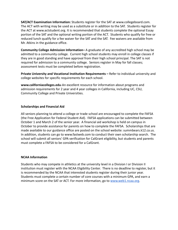**SAT/ACT Examination Information:** Students register for the SAT at www.collegeboard.com. The ACT with writing may be used as a substitute or in addition to the SAT. Students register for the ACT at www.actstudent.org. It is recommended that students complete the optional Essay portion of the SAT and the optional writing portion of the ACT. Students who qualify for free or reduced lunch qualify for a fee waiver for the SAT and the SAT. Fee waivers are available from Mr. Atkins in the guidance office.

**Community College Admission Information***–* A graduate of any accredited high school may be admitted to a community college. Current high school students may enroll in college classes if they are in good standing and have approval from their high school principal. The SAT is not required for admission to a community college. Seniors register in May for fall classes; assessment tests must be completed before registration.

**Private University and Vocational Institution Requirements** *–* Refer to individual university and college websites for specific requirements for each school.

**www.californiacolleges.edu**-An excellent resource for information about programs and admission requirements for 2 year and 4 year colleges in California, including UC, CSU, Community College and Private Universities.

#### **Scholarships and Financial Aid**

All seniors planning to attend a college or trade school are encouraged to complete the FAFSA (the Free Application for Federal Student Aid). FAFSA applications can be submitted between October 1 and March 2 of the senior year. A financial aid workshop is held on campus in October to provide assistance for parents on how to complete the FAFSA. Scholarships that are made available to our guidance office are posted on the school website: summbears.k12.ca.us. In addition, students can go to www.fastweb.com to conduct their own scholarship search. The school will submit all seniors' GPA verification for CalGrant eligibility, but students and parents must complete a FAFSA to be considered for a CalGrant.

#### **NCAA Information**

Students who may compete in athletics at the university level in a Division I or Division II institution must register with the NCAA Eligibility Center. There is no deadline to register, but it is recommended by the NCAA that interested students register during their junior year. Students must complete a certain number of core courses with a minimum GPA, and earn a minimum score on the SAT or ACT. For more information, go to [www.web1.ncaa.org.](http://www.web1.ncaa.org)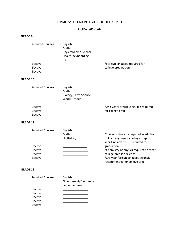#### **SUMMERVILLE UNION HIGH SCHOOL DISTRICT**

#### **FOUR-YEAR PLAN**

#### **GRADE 9**

| <b>Required Courses</b>                         | English<br>Math<br>Physical/Earth Science<br>Health/Keyboarding<br>PE |                                                                                                                                                                                 |
|-------------------------------------------------|-----------------------------------------------------------------------|---------------------------------------------------------------------------------------------------------------------------------------------------------------------------------|
| Elective<br>Elective<br>Elective                |                                                                       | *Foreign language required for<br>college preparation                                                                                                                           |
| <b>GRADE 10</b>                                 |                                                                       |                                                                                                                                                                                 |
| <b>Required Courses</b>                         | English<br>Math<br>Biology/Earth Science<br>World History<br>PE       |                                                                                                                                                                                 |
| Elective<br>Elective<br>Elective                |                                                                       | *2nd year Foreign Language required<br>for college prep                                                                                                                         |
| <b>GRADE 11</b>                                 |                                                                       |                                                                                                                                                                                 |
| <b>Required Courses</b><br>Elective<br>Elective | English<br>Math<br><b>US History</b><br>PE                            | *1 year of fine arts required in addition<br>to For. Language for college prep. 1<br>year Fine arts or CTE required for<br>graduation<br>*Chemistry or physics required to meet |
| Elective<br>Elective                            |                                                                       | college prep lab science<br>*3rd year foreign language strongly<br>recommended for college prep                                                                                 |
| <b>GRADE 12</b>                                 |                                                                       |                                                                                                                                                                                 |
| <b>Required Courses</b>                         | English                                                               |                                                                                                                                                                                 |

|          | Government/Economics<br>Senior Seminar |
|----------|----------------------------------------|
| Elective |                                        |
| Elective |                                        |
| Elective |                                        |
| Elective |                                        |
| Elective |                                        |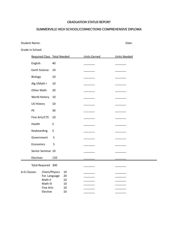#### **GRADUATION STATUS REPORT**

#### **SUMMERVILLE HIGH SCHOOL/CONNECTIONS COMPREHENSIVE DIPLOMA**

Student Name: Date:

Grade in School:

|              |                      |                          | Required Class Total Needed |          | <b>Units Earned</b> | <b>Units Needed</b> |
|--------------|----------------------|--------------------------|-----------------------------|----------|---------------------|---------------------|
|              | English              |                          | 40                          |          |                     |                     |
|              | <b>Earth Science</b> |                          | 10                          |          |                     |                     |
|              | Biology              |                          | 10                          |          |                     |                     |
|              | Alg I/Math I         |                          | $10\,$                      |          |                     |                     |
|              | Other Math           |                          | 20                          |          |                     |                     |
|              | World History        |                          | 10                          |          |                     |                     |
|              | <b>US History</b>    |                          | $10\,$                      |          |                     |                     |
|              | PE                   |                          | 30                          |          |                     |                     |
|              | Fine Arts/CTE        |                          | 10                          |          |                     |                     |
|              | Health               |                          | 5                           |          |                     |                     |
|              | Keyboarding          |                          | 5                           |          |                     |                     |
|              | Government           |                          | 5                           |          |                     |                     |
|              | Economics            |                          | 5                           |          |                     |                     |
|              | Senior Seminar 10    |                          |                             |          |                     |                     |
|              | Electives            |                          | 120                         |          |                     |                     |
|              | Total Required 300   |                          |                             |          |                     |                     |
| A-G Classes: |                      | Chem/Physics             |                             | 10       |                     |                     |
|              |                      | For. Language<br>Math II |                             | 20<br>10 |                     |                     |
|              |                      | Math III                 |                             | 10       |                     |                     |
|              |                      | <b>Fine Arts</b>         |                             | 10       |                     |                     |
|              |                      | Elective                 |                             | 10       |                     |                     |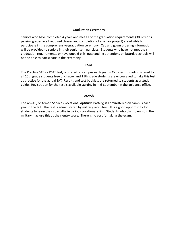#### **Graduation Ceremony**

Seniors who have completed 4 years and met all of the graduation requirements (300 credits, passing grades in all required classes and completion of a senior project) are eligible to participate in the comprehensive graduation ceremony. Cap and gown ordering information will be provided to seniors in their senior seminar class. Students who have not met their graduation requirements, or have unpaid bills, outstanding detentions or Saturday schools will not be able to participate in the ceremony.

#### **PSAT**

The Practice SAT, or PSAT test, is offered on campus each year in October. It is administered to all 10th grade students free of charge, and 11th grade students are encouraged to take this test as practice for the actual SAT. Results and test booklets are returned to students as a study guide. Registration for the test is available starting in mid-September in the guidance office.

#### **ASVAB**

The ASVAB, or Armed Services Vocational Aptitude Battery, is administered on campus each year in the fall. The test is administered by military recruiters. It is a good opportunity for students to learn their strengths in various vocational skills. Students who plan to enlist in the military may use this as their entry score. There is no cost for taking the exam.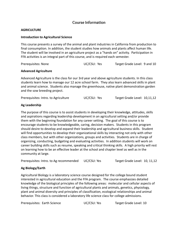#### **Course Information**

#### **AGRICULTURE**

#### **Introduction to Agricultural Science**

This course presents a survey of the animal and plant industries in California from production to final consumption. In addition, the student studies how animals and plants affect human life. The student will be involved in an agriculture project as a "hands on" activity. Participation in FFA activities is an integral part of this course, and is required each semester.

| Prerequisites: None | UC/CSU: Yes | Target Grade Level: 9 and 10 |
|---------------------|-------------|------------------------------|
|---------------------|-------------|------------------------------|

#### **Advanced Agriculture**

Advanced Agriculture is the class for our 3rd year and above agriculture students. In this class students learn how to manage our 12 acre school farm. They also learn advanced skills in plant and animal science. Students also manage the greenhouse, native plant demonstration garden and the sow breeding project.

| Prerequisites: Intro. to Agriculture | UC/CSU: Yes | Target Grade Level: 10,11,12 |
|--------------------------------------|-------------|------------------------------|
|--------------------------------------|-------------|------------------------------|

#### **Ag Leadership**

The purpose of this course is to assist students in developing their knowledge, attitudes, skills and aspirations regarding leadership development in an agricultural setting and/or provide them with the beginning foundation for any career setting. The goal of this course is to encourage students to be knowledgeable, caring, decision makers. Students in this program should desire to develop and expand their leadership and agricultural business skills. Student will find opportunities to develop their organizational skills by interacting not only with other class members, but with other organizations, groups and activities. Students are in charge of organizing, conducting, budgeting and evaluating activities. In addition students will work on career building skills such as resume, speaking and critical thinking skills. A high priority will rest on learning how to be an effective leader at the school and chapter level as well as in the community at large.

Prerequisites: Intro. to Ag recommended UC/CSU: Yes Target Grade Level: 10, 11,12

#### **Ag Biology/Earth**

Agricultural Biology is a laboratory science course designed for the college bound student interested in agricultural education and the FFA program. The course emphasizes detailed knowledge of the biological principles of the following areas: molecular and cellular aspects of living things, structure and function of agricultural plants and animals, genetics, physiology, plant and animal diversity and principles of classification, ecological relationships and animal behavior. This class is considered a laboratory life science class for college admissions.

| Prerequisites: Earth Science | UC/CSU: Yes | Target Grade Level: 10 |
|------------------------------|-------------|------------------------|
|------------------------------|-------------|------------------------|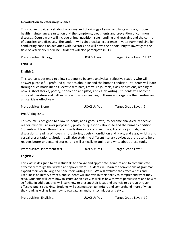#### **Introduction to Veterinary Science**

This course provides a study of anatomy and physiology of small and large animals; proper health maintenance; sanitation and the symptoms, treatments and prevention of common diseases. Course work will include animal nutrition, safe handling and restraint and the control of parasites and diseases. The student will gain practical experience in veterinary medicine by conducting hands-on activities with livestock and will have the opportunity to investigate the field of veterinary medicine. Students will also participate in FFA.

Prerequisites: Biology **No. 2018** UC/CSU: Yes Target Grade Level: 11,12

#### **ENGLISH**

#### **English 1**

This course is designed to allow students to become analytical, reflective readers who will answer purposeful, profound questions about life and the human condition. Students will learn through such modalities as Socratic seminars, literature journals, class discussions, reading of novels, short stories, poetry, non-fiction and plays, and essay writing. Students will become critics of literature and will learn how to write meaningful theses and organize their writing and critical ideas effectively.

Prerequisites: None UC/CSU: Yes Target Grade Level: 9

#### **Pre AP English 1**

This course is designed to allow students, at a rigorous rate, to become analytical, reflective readers who will answer purposeful, profound questions about life and the human condition. Students will learn through such modalities as Socratic seminars, literature journals, class discussions, reading of novels, short stories, poetry, non-fiction and plays, and essay writing and verbal presentations. Students will also study the different literary devices authors use to help readers better understand stories, and will critically examine and write about those tools.

Prerequisites: Placement test UC/CSU: Yes Target Grade Level: 9

#### **English 2**

This class is designed to train students to analyze and appreciate literature and to communicate effectively through the written and spoken word. Students will learn the conventions of grammar, expand their vocabulary, and hone their writing skills. We will evaluate the effectiveness and usefulness of literary devices, and students will improve in their ability to comprehend what they read. Students will learn how to structure an essay, as well as how to write persuasively, and how to self-edit. In addition, they will learn how to present their ideas and analysis to a group through effective public speaking. Students will become stronger writers and comprehend more of what they read, as well as learn how to evaluate an author's techniques and style.

Prerequisites: English 1 UC/CSU: Yes Target Grade Level: 10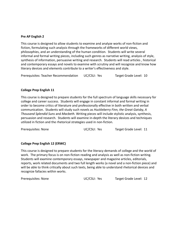#### **Pre AP English 2**

This course is designed to allow students to examine and analyze works of non-fiction and fiction, formulating such analysis through the frameworks of different world views, philosophies, and an understanding of the human condition. Students will write several informal and formal writing pieces, including such genres as narrative writing, analysis of style, synthesis of information, persuasive writing and research. Students will read articles , historical and contemporary essays and novels to examine with scrutiny and will recognize and know how literary devices and elements contribute to a writer's effectiveness and style.

Prerequisites: Teacher Recommendation UC/CSU: Yes Target Grade Level: 10

#### **College Prep English 11**

This course is designed to prepare students for the full spectrum of language skills necessary for college and career success. Students will engage in constant informal and formal writing in order to become critics of literature and professionally effective in both written and verbal communication. Students will study such novels as *Huckleberry Finn, the Great Gatsby, A Thousand Splendid Suns* and *Macbeth.* Writing pieces will include stylistic analysis, synthesis, persuasion and research. Students will examine in-depth the literary devices and techniques utilized in fiction and the rhetorical strategies used in non-fiction.

Prerequisites: None **Example 20 Target Grade Level:** 11

#### **College Prep English 12 (ERWC)**

This course is designed to prepare students for the literacy demands of college and the world of work. The primary focus is on non-fiction reading and analysis as well as non-fiction writing. Students will examine contemporary essays, newspaper and magazine articles, editorials, reports, work related documents and two full length works (a novel and a non-fiction piece) and will be able to think critically about such texts, being able to understand rhetorical devices and recognize fallacies within works.

Prerequisites: None UC/CSU: Yes Target Grade Level: 12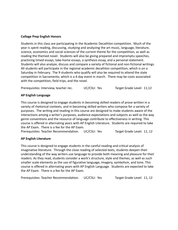#### **College Prep English Honors**

Students in this class are participating in the Academic Decathlon competition. Much of the year is spent reading, discussing, studying and analyzing the art music, language, literature, science, economics and social sciences of the current theme for the competition, as well as reading the themed novel. Students will also be giving prepared and impromptu speeches, practicing timed essays, take-home essays, a synthesis essay, and a personal statement. Students will also analyze, discuss and compare a variety of fictional and non-fictional writings. All students will participate in the regional academic decathlon competition, which is on a Saturday in February. The 9 students who qualify will also be required to attend the state competition in Sacramento, which is a 4-day event in march. There may be costs associated with the competition, field trips, and the novel.

Prerequisites: Interview, teacher rec. UC/CSU: Yes Target Grade Level: 11,12

#### **AP English Language**

This course is designed to engage students in becoming skilled readers of prose written in a variety of rhetorical contexts, and in becoming skilled writers who compose for a variety of purposes. The writing and reading in this course are designed to make students aware of the interactions among a writer's purposes, audience expectations and subjects as well as the way genre conventions and the resource of language contribute to effectiveness in writing. This course is offered in alternating years with AP English Literature. Students are required to take the AP Exam. There is a fee for the AP Exam.

Prerequisites: Teacher Recommendation. UC/CSU: Yes Target Grade Level: 11, 12

#### **AP English Literature**

This course is designed to engage students in the careful reading and critical analysis of imaginative literature. Through the close reading of selected texts, students deepen their understanding of the way writers use language to provide both meaning and pleasure for their readers. As they read, students consider a work's structure, style and themes, as well as such smaller scale elements as the use of figurative language, imagery, symbolism, and tone. This course is offered in alternating years with AP English Language. Students are expected to take the AP Exam. There is a fee for the AP Exam.

Prerequisites: Teacher Recommendation. UC/CSU: Yes Target Grade Level: 11, 12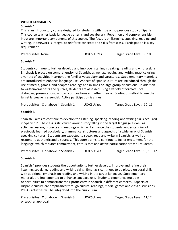#### **WORLD LANGUAGES**

#### **Spanish 1**

This is an introductory course designed for students with little or no previous study of Spanish. This course teaches basic language patterns and vocabulary. Repetition and comprehensible input are important components of this course. The focus is on listening, speaking, reading and writing. Homework is integral to reinforce concepts and skills from class. Participation is a key requirement.

Prerequisites: None UC/CSU: Yes Target Grade Level: 9, 10

#### **Spanish 2**

Students continue to further develop and improve listening, speaking, reading and writing skills. Emphasis is placed on comprehension of Spanish, as well as, reading and writing practice using a variety of activities incorporating familiar vocabulary and structures. Supplementary materials are introduced to enhance language use. Aspects of Spanish culture are introduced through the use of media, games, and adapted readings and in small or large group discussions. In addition to written/oral tests and quizzes, students are assessed using a variety of formats: oral dialogues, presentations, written compositions and other means. Continuous effort to use the target language is essential. Active participation is a must!

Prerequisites: C or above in Spanish 1. UC/CSU: Yes Target Grade Level: 10, 11

#### **Spanish 3**

Spanish 3 aims to continue to develop the listening, speaking, reading and writing skills acquired in Spanish 2. The class is structured around storytelling in the target language as well as activities, essays, projects and readings which will enhance the students' understanding of previously learned vocabulary, grammatical structures and aspects of a wide array of Spanish speaking cultures. Students are expected to speak, read and write in Spanish, as well as respond to authentic audio sources. This course aims to continue to foster excitement for the language, which requires commitment, enthusiasm and active participation from all students.

Prerequisites: C or above in Spanish 2. UC/CSU: Yes Target Grade Level: 10, 11, 12

#### **Spanish 4**

Spanish 4 provides students the opportunity to further develop, improve and refine their listening, speaking, reading and writing skills. Emphasis continues to be placed on aural skills with additional emphasis on reading and writing in the target language. Supplementary materials are implemented to enhance language use. Students experience multiple opportunities to demonstrate their proficiency in Spanish in different contexts. Aspects of Hispanic culture are emphasized through cultural readings, media, games and class discussions. Pre AP activities will be integrated into the curriculum.

Prerequisites: C or above in Spanish 3 UC/CSU: Yes Target Grade Level: 11,12 or teacher approval.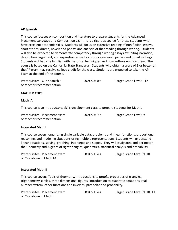#### **AP Spanish**

This course focuses on composition and literature to prepare students for the Advanced Placement Language and Composition exam. It is a rigorous course for those students who have excellent academic skills. Students will focus on extensive reading of non fiction, essays, short stories, drama, novels and poems and analysis of that reading through writing. Students will also be expected to demonstrate competency through writing essays exhibiting narration, description, argument, and exposition as well as produce research papers and timed writings. Students will become familiar with rhetorical techniques and how authors employ them. The course is based on the California State Standards. Students who obtain a score of 3 or better on the AP exam may receive college credit for the class. Students are expected to take the AP Exam at the end of the course.

| Prerequisites: C in Spanish 4 | UC/CSU: Yes | Target Grade Level: 12 |  |
|-------------------------------|-------------|------------------------|--|
| or teacher recommendation.    |             |                        |  |

#### **MATHEMATICS**

#### **Math IA**

This course is an introductory, skills development class to prepare students for Math I.

| Prerequisites: Placement exam | UC/CSU: No | Target Grade Level: 9 |
|-------------------------------|------------|-----------------------|
| or teacher recommendation.    |            |                       |

#### **Integrated Math I**

This course covers: organizing single variable data, problems and linear functions, proportional reasoning, and modeling situations using multiple representations. Students will understand linear equations, solving, graphing, intercepts and slopes. They will study area and perimeter, the Geometry and Algebra of right triangles, quadratics, statistical analysis and probability.

| Prerequisites: Placement exam | UC/CSU: Yes | Target Grade Level: 9, 10 |
|-------------------------------|-------------|---------------------------|
| or C or above in Math 1A.     |             |                           |

#### **Integrated Math II**

This course covers: Tools of Geometry, introductions to proofs, properties of triangles, trigonometry, circles, three dimensional figures, introduction to quadratic equations, real number system, other functions and inverses, parabolas and probability.

| Prerequisites: Placement exam | UC/CSU: Yes | Target Grade Level: 9, 10, 11 |
|-------------------------------|-------------|-------------------------------|
| or C or above in Math I.      |             |                               |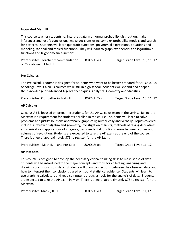#### **Integrated Math III**

This course teaches students to: Interpret data in a normal probability distribution, make inferences and justify conclusions, make decisions using complex probability models and search for patterns. Students will learn quadratic functions, polynomial expressions, equations and modeling, rational and radical functions. They will learn to graph exponential and logarithmic functions and trigonometric functions.

Prerequisites: Teacher recommendation UC/CSU: Yes Target Grade Level: 10, 11, 12 or C or above in Math II.

#### **Pre-Calculus**

The Pre-calculus course is designed for students who want to be better prepared for AP Calculus or college-level Calculus courses while still in high school. Students will extend and deepen their knowledge of advanced Algebra techniques, Analytical Geometry and Statistics.

Prerequisites: C or better in Math III UCCSU: Yes Target Grade Level: 10, 11, 12

#### **AP Calculus**

Calculus AB is focused on preparing students for the AP Calculus exam in the spring. Taking the AP exam is a requirement for students enrolled in the course. Students will learn to solve problems and justify solutions analytically, graphically, numerically and verbally. Topics covered include: a review of algebra and geometry, investigation of limits, methods of taking derivatives, anti-derivatives, applications of integrals, transcendental functions, areas between curves and volumes of revolution. Students are expected to take the AP exam at the end of the course. There is a fee of approximately \$75 to register for the AP Exam.

Prerequisites: Math II, III and Pre-Calc UC/CSU: Yes Target Grade Level: 11, 12

#### **AP Statistics**

This course is designed to develop the necessary critical thinking skills to make sense of data. Students will be introduced to the major concepts and tools for collecting, analyzing and drawing conclusions from data. Students will draw connections between the observed data and how to interpret their conclusions based on sound statistical evidence. Students will learn to use graphing calculators and read computer outputs as tools for the analysis of data. Students are expected to take the AP exam in May. There is a fee of approximately \$75 to register for the AP exam.

Prerequisites: Math I, II, III **UC**/CSU: Yes Target Grade Level: 11,12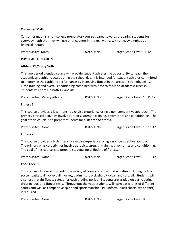#### **Consumer Math**

Consumer math is a non-college preparatory course geared towards preparing students for everyday math that they will use or encounter in the real world, with a heavy emphasis on financial literacy.

| Prerequisites: Math I | UC/CSU: No | Target Grade Level: 11,12 |
|-----------------------|------------|---------------------------|
|                       |            |                           |

#### **PHYSICAL EDUCATION**

#### **Athletic PE/Study Skills**

This two period blended course will provide student athletes the opportunity to reach their academic and athletic goals during the school day. It is intended for student athletes committed to improving their athletic performance by increasing fitness in the areas of strength, agility, jump training and overall conditioning combined with time to focus on academic success. Students will enroll in both 4A and 4B.

|  | Prerequisites: Varsity athlete | UC/CSU: No | Target Grade Level: 10,11,12 |
|--|--------------------------------|------------|------------------------------|
|--|--------------------------------|------------|------------------------------|

#### **Fitness 1**

This course provides a low intensity exercise experience using a non-competitive approach. The primary physical activities involve aerobics, strength training, plyometrics and conditioning. The goal of this course is to prepare students for a lifetime of fitness.

| Prerequisites: None | UC/CSU: No | Target Grade Level: 10, 11,12 |
|---------------------|------------|-------------------------------|
|---------------------|------------|-------------------------------|

#### **Fitness 2**

This course provides a high intensity exercise experience using a non-competitive approach. The primary physical activities involve aerobics, strength training, plyometrics and conditioning. The goal of this course is to prepare students for a lifetime of fitness.

| Prerequisites: None | UC/CSU: No | Target Grade Level: 10, 11,12 |
|---------------------|------------|-------------------------------|
|---------------------|------------|-------------------------------|

#### **Coed Core PE**

This course introduces students to a variety of team and individual activities including football, soccer, basketball, volleyball, hockey, badminton, pickleball, kickball and softball. Students will also test in eight fitness categories each grading period. Students are graded on participating, dressing out, and fitness tests. Throughout the year, students will learn basic rules of different sports and well as competitive spirit and sportsmanship. PE uniform (black shorts, white shirt) is required.

| UC/CSU: No | Target Grade Level: 9 |
|------------|-----------------------|
|            |                       |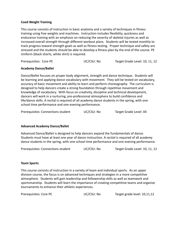#### **Coed Weight Training**

This course consists of instruction in basic anatomy and a variety of techniques in fitness training using free weights and machines. Instruction includes flexibility, quickness and endurance training with an emphasis on reducing the severity of skeletal injuries as well as increased overall strength through different workout plans. Students will be tested monthly to track progress toward strength goals as well as fitness testing. Proper technique and safety are stressed and the students should be able to develop a fitness plan by the end of the course. PE Uniform (black shorts, white shirt) is required.

Prerequisites: Core PE UC/CSU: No Target Grade Level: 10, 11, 12

#### **Academy Dance/Ballet**

Dance/Ballet focuses on proper body alignment, strength and dance technique. Students will be learning and applying dance vocabulary with movement. They will be tested on vocabulary, accuracy of basic movement and ability to learn and perform choreography. The curriculum is designed to help dancers create a strong foundation through repetitive movement and knowledge of vocabulary. With focus on creativity, discipline and technical development, dancers will work in a nurturing, pre-professional atmosphere to build confidence and life/dance skills. A recital is required of all academy dance students in the spring, with one school time performance and one evening performance.

Prerequisites: Connections student UC/CSU: No Target Grade Level: All

#### **Advanced Academy Dance/Ballet**

Advanced Dance/Ballet is designed to help dancers expand the fundamentals of dance. Students must have at least one year of dance instruction. A recital is required of all academy dance students in the spring, with one school time performance and one evening performance.

Prerequisites: Connections student UC/CSU: No Target Grade Level: 10, 11, 12

#### **Team Sports**

This course consists of instruction in a variety of team and individual sports. As an upper division course, the focus is on advanced techniques and strategies in a more competitive atmosphere. Students will gain leadership and followership skills as well as teamwork and sportsmanship. Students will learn the importance of creating competitive teams and organize tournaments to enhance their athletic experiences.

| Prerequisites: Core PE | UC/CSU: No | Target grade level: 10,11,12 |
|------------------------|------------|------------------------------|
|------------------------|------------|------------------------------|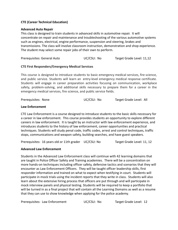#### **CTE (Career Technical Education)**

#### **Advanced Auto Repair**

This class is designed to train students in advanced skills in automotive repair. It will concentrate on repair and maintenance and troubleshooting of the various automotive systems such as engines, electrical, engine performance, suspension and steering, brakes and transmissions. The class will involve classroom instruction, demonstration and shop experience. The student may select some repair jobs of their own to perform.

Prerequisites: General Auto UC/CSU: No Target Grade Level: 11,12

#### **CTE First Responders/Emergency Medical Services**

This course is designed to introduce students to basic emergency medical services, fire science, and public service. Students will learn an entry-level emergency medical response certificate. Students will engage in career preparation activities focusing on communication, workplace safety, problem-solving, and additional skills necessary to prepare them for a career in the emergency medical services, fire science, and public service fields.

Prerequisites: None UC/CSU: No Target Grade Level: All

#### **Law Enforcement**

CTE Law Enforcement is a course designed to introduce students to the basic skills necessary for a career in law enforcement. This course provides students an opportunity to explore different careers in law enforcement. It is taught by an instructor with law enforcement experience, and introduces students to the history of law enforcement, career opportunities and practical techniques. Students will study penal code, traffic codes, arrest and control techniques, traffic stops, communications and weapon safety, building searches, and have guest speakers.

Prerequisites: 16 years old or 11th grader UC/CSU: No Target Grade Level: 11, 12

#### **Advanced Law Enforcement**

Students in the Advanced Law Enforcement class will continue with 42 learning domains that are taught in Police Officer Safety and Training academies. There will be a concentration on more hands-on techniques including officer safety, defensive tactics and scenarios that they will encounter as Law Enforcement Officers. They will be taught officer leadership skills, first responder information and trained on what to expect when testifying in court. Students will participate in mock trials using the incident reports that they write in class. Students will also learn about the extensive hiring process that officers are put through and will participate in mock interview panels and physical testing. Students will be required to keep a portfolio that will be turned in as a final project that will contain all the Learning Domains as well as a resume that they can use to show knowledge when applying for the police academy.

Prerequisites: Law Enforcement UC/CSU: No Target Grade Level: 12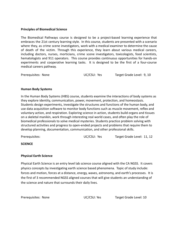#### **Principles of Biomedical Science**

The Biomedical Pathways course is designed to be a project-based learning experience that embraces the 21st century learning style. In this course, students are presented with a scenario where they, as crime scene investigators, work with a medical examiner to determine the cause of death of the victim. Through this experience, they learn about various medical careers, including doctors, nurses, morticians, crime scene investigators, toxicologists, food scientists, hematologists and 911 operators. This course provides continuous opportunities for hands-on experiments and cooperative learning tasks. It is designed to be the first of a four-course medical careers pathway.

#### **Human Body Systems**

In the Human Body Systems (HBS) course, students examine the interactions of body systems as they explore identity, communication, power, movement, protection, and homeostasis. Students design experiments, investigate the structures and functions of the human body, and use data acquisition software to monitor body functions such as muscle movement, reflex and voluntary action, and respiration. Exploring science in action, students build organs and tissues on a skeletal manikin, work through interesting real world cases, and often play the role of biomedical professionals to solve medical mysteries. Students practice problem solving with structured activities and progress to open-ended projects and problems that require them to develop planning, documentation, communication, and other professional skills.

Prerequisites: UC/CSU: Yes Target Grade Level: 11, 12

#### **SCIENCE**

#### **Physical Earth Science**

Physical Earth Science is an entry level lab science course aligned with the CA NGSS. It covers physics concepts by investigating earth science based phenomena. Topic of study include: forces and motion, forces at a distance, energy, waves, astronomy, and earth's processes. It is the first of 3 recommended NGSS aligned courses that will give students an understanding of the science and nature that surrounds their daily lives.

Prerequisites: None UC/CSU: Yes Target Grade Level: 10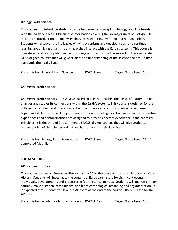#### **Biology Earth Science**

This course is to introduce students to the fundamental concepts of biology and its interrelation with the earth sciences. A balance of information covering the six major units of Biology will include an introduction to biology, ecology, cells, genetics, evolution and human biology. Students will discover the intricacies of living organisms and develop a desire to continue learning about living organisms and how they interact with the Earth's systems. This course is considered a laboratory life science for college admissions. It is the second of 3 recommended NGSS aligned courses that will give students an understanding of the science and nature that surrounds their daily lives.

Prerequisites: Physical Earth Science UC/CSU: Yes Target Grade Level: 10

#### **Chemistry Earth Science**

**Chemistry Earth Sciences** is a CA NGSS based course that teaches the basics of matter and its changes and studies its connections within the Earth's systems. This course is designed for the college prep student and or any student with a possible interest in a science based career. Topics and skills covered will help prepare a student for college level science courses. Laboratory experiences and demonstrations are designed to provide concrete experience in the chemical principles. It is the third of 3 recommended NGSS aligned courses that will give students an understanding of the science and nature that surrounds their daily lives.

Prerequisites: Biology Earth Science and UC/CSU: Yes Target Grade Level: 11, 12 completed Math II.

#### **SOCIAL STUDIES**

#### **AP European History**

This course focuses on European History from 1450 to the present. It is taken in place of World History. Students will investigate the content of European history for significant events, individuals, developments and processes in four historical periods. Students will analyze primary sources, make historical comparisons, and learn chronological reasoning and argumentation. It is expected that students will take the AP exam at the end of the course. There is a fee for the AP exam.

Prerequisites: Academically strong student. UC/CSU: Yes Target Grade Level: 10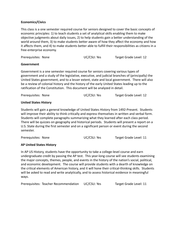#### **Economics/Civics**

This class is a one semester required course for seniors designed to cover the basic concepts of economic principles: 1) to teach students a set of analytical skills enabling them to make objective judgments about daily issues, 2) to help students gain a better understanding of the world around them, 3) to make students better aware of how they affect the economy and how it affects them, and 4) to make students better able to fulfill their responsibilities as citizens in a free-enterprise economy.

Prerequisites: None UC/CSU: Yes Target Grade Level: 12

#### **Government**

Government is a one semester required course for seniors covering various types of government and a study of the legislative, executive, and judicial branches of (principally) the United States government, and to a lesser extent, state and local government. There will also be a review of colonial history and the history of the early United States leading up to the ratification of the Constitution. This document will be analyzed in detail.

| Prerequisites: None | UC/CSU: Yes | Target Grade Level: 12 |
|---------------------|-------------|------------------------|
|---------------------|-------------|------------------------|

#### **United States History**

Students will gain a general knowledge of United States History from 1492-Present. Students will improve their ability to think critically and express themselves in written and verbal form. Students will complete paragraphs summarizing what they learned after each class period. There will be quizzes on geography and historical periods. Students will present a report on a U.S. State during the first semester and on a significant person or event during the second semester.

Prerequisites: None UC/CSU: Yes Target Grade Level: 11

#### **AP United States History**

In AP US History, students have the opportunity to take a college-level course and earn undergraduate credit by passing the AP test. This year-long course will see students examining the major concepts, themes, people, and events in the history of the nation's social, political, and economic development. The course will provide students with a dearth of knowledge on the critical elements of American history, and it will hone their critical-thinking skills. Students will be asked to read and write analytically, and to assess historical evidence in meaningful ways.

Prerequisites: Teacher Recommendation UC/CSU: Yes Target Grade Level: 11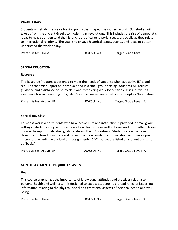#### **World History**

Students will study the major turning points that shaped the modern world. Our studies will take us from the ancient Greeks to modern day revolutions. This includes the rise of democratic ideas to help us understand the historic roots of current world issues, especially as they relate to international relations. The goal is to engage historical issues, events, and ideas to better understand the world today.

Prerequisites: None UC/CSU: Yes Target Grade Level: 10

#### **SPECIAL EDUCATION**

#### **Resource**

The Resource Program is designed to meet the needs of students who have active IEP's and require academic support as individuals and in a small group setting. Students will receive guidance and assistance on study skills and completing work for outside classes, as well as assistance towards meeting IEP goals. Resource courses are listed on transcript as "foundation"

| Prerequisites: Active IEP | UC/CSU: No | Target Grade Level: All |
|---------------------------|------------|-------------------------|
|---------------------------|------------|-------------------------|

#### **Special Day Class**

This class works with students who have active IEP's and instruction is provided in small group settings. Students are given time to work on class work as well as homework from other classes in order to support individual goals set during the IEP meetings. Students are encouraged to develop structured organization skills and maintain regular communication with on-campus instructors regarding work load and assignments. SDC courses are listed on student transcripts as "basic."

Prerequisites: Active IEP UC/CSU: No Target Grade Level: All

#### **NON DEPARTMENTAL REQUIRED CLASSES**

#### **Health**

This course emphasizes the importance of knowledge, attitudes and practices relating to personal health and wellness. It is designed to expose students to a broad range of issues and information relating to the physical, social and emotional aspects of personal health and well being.

Prerequisites: None UC/CSU: No Target Grade Level: 9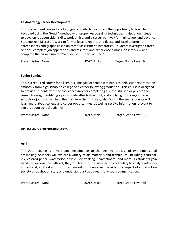#### **Keyboarding/Career Development**

This is a required course for all 9th graders, which gives them the opportunity to learn to keyboard using the "touch" method with proper keyboarding technique. It also allows students to develop job acquisition skills, work ethics, and a career pathway for high school and beyond. Students use Microsoft Word to format letters, reports and flyers; and Excel to prepare spreadsheets and graphs based on career assessment inventories. Students investigate career options, complete job applications and resumes and experience a mock job interview and complete the curriculum for "Get Focused…Stay Focused."

Prerequisites: None UC/CSU: No Target Grade Level: 9

#### **Senior Seminar**

This is a required course for all seniors. The goal of senior seminar is to help students transition smoothly from high school to college or a career following graduation. This course is designed to provide students with the tools necessary for completing a successful senior project and research essay, identifying a path for life after high school, and applying for colleges, trade schools or jobs that will help them achieve their future goals. During the year, students will learn more about college and career opportunities, as well as receive information relevant to seniors about school activities.

Prerequisites: None UC/CSU: No Target Grade Level: 12

#### **VISUAL AND PERFORMING ARTS**

#### **Art I**

The Art I course is a year-long introduction to the creative process of two-dimensional art-making. Students will explore a variety of art materials and techniques, including: charcoal, ink, colored pencil, watercolor, acrylic, printmaking, scratchboard, and more. As students gain hands-on experience with art, they will learn to use art-specific vocabulary to analyze artworks in personal, cultural and historical contexts. Students will consider the impact of visual art on society throughout history and understand art as a means of visual communication.

Prerequisites: None UC/CSU: Yes Target Grade Level: All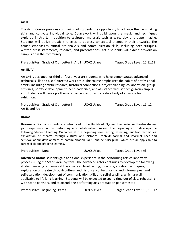#### **Art II**

The Art II Course provides continuing art students the opportunity to advance their art-making skills and cultivate individual style. Coursework will build upon the media and techniques explored in Art 1, in addition to sculptural materials such as wire, clay, and paper mache. Students will utilize artistic strategies to address conceptual themes in their artworks. The course emphasizes critical art analysis and communication skills, including peer critiques, written artist statements, research, and presentations. Art 2 students will exhibit artwork on campus or in the community.

Prerequisites: Grade of C or better in Art 1 UC/CSU: Yes Target Grade Level: 10,11,12

#### **Art III/IV**

Art 3/4 is designed for third or fourth year art students who have demonstrated advanced technical skills and a self-directed work ethic. The course emphasizes the habits of professional artists, including artistic research, historical connections, project planning, collaboration, group critiques, portfolio development, peer leadership, and assistance with set designs/on-campus art. Students will develop a thematic concentration and create a body of artworks for exhibition.

Prerequisites: Grade of C or better in UC/CSU: Yes Target Grade Level: 11, 12 Art II, and Art III.

#### **Drama**

**Beginning Drama** students are introduced to the Stanislavski System, the beginning theatre student gains experience in the performing arts collaborative process. The beginning actor develops the following Student Learning Outcomes at the beginning level: acting, directing, audition techniques; exploration of theatre through cultural and historical context; formal and informal peer and self-evaluation; development of communication skills; and self-discipline, which are all applicable to career skills and life-long learning.

Prerequisites: None UC/CSU: Yes Target Grade Level: All

**Advanced Drama** students gain additional experience in the performing arts collaborative process, using the Stanislavski System. The advanced actor continues to develop the following student learning outcomes at the advanced level: acting, directing, audition techniques, exploration of theatre through cultural and historical context, formal and informal peer and self-evaluation, development of communication skills and self-discipline, which are all applicable to life long learning. Students will be expected to spend time out of class rehearsing with scene partners, and to attend one performing arts production per semester.

Prerequisites: Beginning Drama UC/CSU: Yes Target Grade Level: 10, 11, 12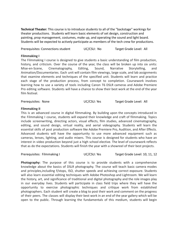**Technical Theater:** This course is to introduce students to all of the "backstage" workings for theater productions. Students will learn basic elements of set design, construction and painting, prop management, costumes, make up, and operating the sound and light board. Students will be expected to actively participate as members of the tech crew for productions.

Prerequisites: Connections student UC/CSU: No Target Grade Level: All

#### **Filmmaking I**

The Filmmaking I course is designed to give students a basic understanding of film production, history, and criticism. Over the course of the year, the class will be broken up into six units: Mise-en-Scene, Cinematography, Editing, Sound, Narrative Storytelling, and Animation/Documentaries. Each unit will contain film viewings, large scale, and lab assignments that examine elements and techniques of the specified unit. Students will learn and practice each stage of the production process, from concept to completion. Coursework involves learning how to use a variety of tools including Canon T6 DSLR cameras and Adobe Premiere Pro editing software. Students will have a chance to show their best work at the end of the year film festival.

Prerequisites: None **Target Grade Level: All** UC/CSU: Yes Target Grade Level: All

#### **Filmmaking II**

This is an advanced course in digital filmmaking. By building upon the concepts introduced in the Filmmaking I course, students will expand their knowledge and craft of filmmaking. Topics include screenwriting, directing actors, visual effects, film studies, advanced cinematography, editing, and sound design, virtual reality, and aerial videography. Students will learn the essential skills of post production software like Adobe Premiere Pro, Audition, and After Effects. Advanced students will have the opportunity to use more advanced equipment such as cameras, lenses, lighting, and audio mixers. This course is designed for students who have an interest in video production beyond just a high school elective. The level of coursework reflects that as do the expectations. Students will finish the year with a showreel of their best projects.

Prerequisites: Filmmaking I **IC/CSU: Yes** Target Grade Level: 10, 11, 12

**Photography:** The purpose of this course is to provide students with a comprehensive knowledge about the basics of DSLR photography. The course will teach basic camera modes and principles,including f/stops, ISO, shutter speeds and achieving correct exposure. Students will also learn essential editing techniques with Adobe Photoshop and Lightroom. We will learn the history, art, and significance of traditional and digital photography and the role images play in our everyday lives. Students will participate in class field trips where they will have the opportunity to exercise photographic techniques and critique work from established photographers. Each student will create a blog to post their work and comment on the progress of their peers. The classes will display their best work in an end of the year gallery which will be open to the public. Through learning the fundamentals of this medium, students will begin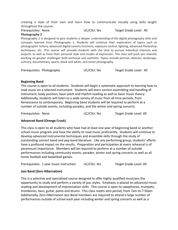creating a style of their own and learn how to communicate visually using skills taught throughout the course.

Prerequisites: None UC/CSU: Yes Target Grade Level: All **Photography 2**

Photography 2 is designed to give students a deeper understanding of the digital photography skills and concepts learned from Photography 1. Students will continue their exploration of topics such as photographic history, advanced digital camera functions, exposure control, lighting, advanced Photoshop techniques, etc. This course will provide students with the time to pursue individual interests and projects as well as hone their personal style and modes of expression. This class will push you towards working on greater challenges both technical and aesthetic. Topics include portrait, abstract, landscape, culinary, documentary, sports, black and white, and street photography.

```
Prerequisites: Photography UC/CSU: Yes Target Grade Level: All
```
#### **Beginning Band**

This course is open to all students. Students will begin a systematic approach to learning how to read music on a selected instrument. Students will learn correct assembling and handling of instrument, body position, basic pitch and rhythm reading as well as basic music theory. Additionally, students will listen to a wide variety of music from all time periods, from Renaissance to contemporary. Beginning band students will be required to perform at a number of outside events, including parades, and the winter and spring concerts.

Prerequisites: None UC/CSU: Yes Target Grade Level: All

#### **Advanced Band (Orange Crush)**

This class is open to all students who have had at least one year of beginning band or another school music program and have the ability to read music proficiently. Students will continue to develop advanced instrumental techniques and ensemble skills through the study of outstanding concert band and pep band literature. Like any performing group, students' efforts have a profound impact on the results. Preparation and participation at every rehearsal is of paramount importance. Members will be required to perform at a number of outside performances including community events, parades, winter and spring concerts as well as all home football and basketball games.

| Prerequisites: 1 year music instruction | UC/CSU: Yes | Target Grade Level: All |
|-----------------------------------------|-------------|-------------------------|
|-----------------------------------------|-------------|-------------------------|

#### **Jazz Band (Zero Hibernation)**

This is a selective and specialized course designed to offer highly qualified musicians the opportunity to study and perform a variety of jazz styles. Emphasis is placed on advanced music reading and development of improvisation skills. This course is open to saxophones, trumpets, trombones, bass, guitar, piano and drums. This class meets zero period, from 7am to 7:50am. Additionally, Zero Hibernation Jazz Band members are required to attend a large number of performances outside of school each year including winter and spring concerts as well as a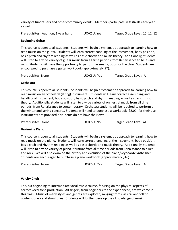variety of fundraisers and other community events. Members participate in festivals each year as well.

Prerequisites: Audition, 1 year band UC/CSU: Yes Target Grade Level: 10, 11, 12

#### **Beginning Guitar**

This course is open to all students. Students will begin a systematic approach to learning how to read music on the guitar. Students will learn correct handling of the instrument, body position, basic pitch and rhythm reading as well as basic chords and music theory. Additionally, students will listen to a wide variety of guitar music from all time periods from Renaissance to blues and rock. Students will have the opportunity to perform in small groups for the class. Students are encouraged to purchase a guitar workbook (approximately \$7).

| Prerequisites: None | UC/CSU: Yes | Target Grade Level: All |
|---------------------|-------------|-------------------------|
|---------------------|-------------|-------------------------|

#### **Orchestra**

This course is open to all students. Students will begin a systematic approach to learning how to read music on an orchestral (string) instrument. Students will learn correct assembling and handling of instrument, body position, basic pitch and rhythm reading as well as basic music theory. Additionally, students will listen to a wide variety of orchestral music from all time periods, from Renaissance to contemporary. Orchestra students will be required to perform at the winter and spring concerts. Students will need to purchase a workbook (\$8.00) for their use. Instruments are provided if students do not have their own.

Prerequisites: None UC/CSU: No Target Grade Level: All

#### **Beginning Piano**

This course is open to all students. Students will begin a systematic approach to learning how to read music on the piano. Students will learn correct handling of the instrument, body position, basic pitch and rhythm reading as well as basic chords and music theory. Additionally, students will listen to a wide variety of piano literature from all time periods from Renaissance to blues and rock. We will also examine the history and evolution of the piano/keyboard/synthesizer. Students are encouraged to purchase a piano workbook (approximately \$16).

| Prerequisites: None | UC/CSU: Yes | Target Grade Level: All |
|---------------------|-------------|-------------------------|
|                     |             |                         |

#### **Varsity Choir**

This is a beginning to intermediate vocal music course, focusing on the physical aspects of correct vocal tone production. All singers, from beginners to the experienced, are welcome in this class. Music of many styles and genres are explored, ranging from classical and folk to contemporary and showtunes. Students will further develop their knowledge of music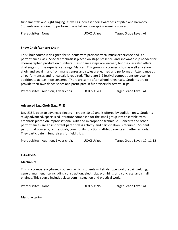fundamentals and sight singing, as well as increase their awareness of pitch and harmony. Students are required to perform in one fall and one spring evening concert.

Prerequisites: None UC/CSU: Yes Target Grade Level: All

#### **Show Choir/Concert Choir**

This Choir course is designed for students with previous vocal music experience and is a performance class. Special emphasis is placed on stage presence, and showmanship needed for choreographed production numbers. Basic dance steps are learned, but the class also offers challenges for the experienced singer/dancer. This group is a concert choir as well as a show choir, and vocal music from many genres and styles are learned and performed. Attendance at all performances and rehearsals is required. There are 1-2 festival competitions per year, in addition to at least two concerts. There are some after school rehearsals. Students are to provide their own dance shoes and participate in fundraisers for festival trips.

Prerequisites: Audition, 1 year choir. UC/CSU: Yes Target Grade Level: All

#### **Advanced Jazz Choir (Jazz @ 8)**

Jazz @8 is open to advanced singers in grades 10-12 and is offered by audition only. Students study advanced, specialized literature composed for the small group jazz ensemble, with emphasis placed on improvisational skills and microphone technique. Concerts and other performances are an important part of class activity, and participation is required. Students perform at concerts, jazz festivals, community functions, athletic events and other schools. They participate in fundraisers for field trips.

Prerequisites: Audition, 1 year choir. UC/CSU: Yes Target Grade Level: 10, 11,12

#### **ELECTIVES**

#### **Mechanics**

This is a competency-based course in which students will study rope work; repair welding; general maintenance including construction, electricity, plumbing, and concrete; and small engines. This course includes classroom instruction and practical work.

Prerequisites: None UC/CSU: No Target Grade Level: All

#### **Manufacturing**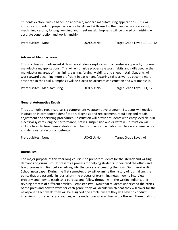Students explore, with a hands-on approach, modern manufacturing applications. This will introduce students to proper safe work habits and skills used in the manufacturing areas of; machining, casting, forging, welding, and sheet metal. Emphasis will be placed on finishing with accurate construction and workmanship.

Prerequisites: None UC/CSU: No Target Grade Level: 10, 11, 12

#### **Advanced Manufacturing**

This is a class with advanced skills where students explore, with a hands-on approach, modern manufacturing applications. This will emphasize proper safe work habits and skills used in the manufacturing areas of machining, casting, forging, welding, and sheet metal. Students will work toward becoming more proficient in basic manufacturing skills as well as become more advanced in their skills. Emphasis will be placed on accurate construction and workmanship.

Prerequisites: Manufacturing  $UC/CSU: No$  Target Grade Level: 11, 12

#### **General Automotive Repair**

The automotive repair course is a comprehensive automotive program. Students will receive instruction in component identification, diagnosis and replacement, rebuilding and repair, adjustment and servicing procedures. Instruction will provide students with entry level skills in electrical systems, engine performance, brakes, suspension and drivetrain. Instruction will include basic lecture, demonstration, and hands on work. Evaluation will be on academic work and demonstration of competency.

Prerequisites: None UC/CSU: No Target Grade Level: All

#### **Journalism**

The major purpose of this year-long course is to prepare students for the literacy and writing demands of journalism. It presents a process for helping students understand the ethics and law of journalism first before delving into the process of creating their own Summerville High School newspaper. During the first semester, they will examine the history of journalism, the ethics that are essential in journalism, the process of examining news, how to interview properly, and how to establish a purpose and follow through with the writing, editing, and revising process of different articles. Semester Two: Now that students understand the ethics of the press and how to write for each genre, they will decide which beat they will cover for the newspaper. Each week, they will be assigned one article, where they will have to conduct interviews from a variety of sources, write under pressure in class, work through three drafts (or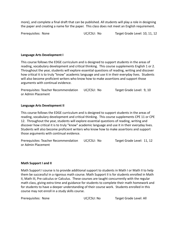more), and complete a final draft that can be published. All students will play a role in designing the paper and creating a name for the paper. This class does not meet an English requirement.

Prerequisites: None UC/CSU: No Target Grade Level: 10, 11, 12

#### **Language Arts Development I**

This course follows the EDGE curriculum and is designed to support students in the areas of reading, vocabulary development and critical thinking. This course supplements English 1 or 2. Throughout the year, students will explore essential questions of reading, writing and discover how critical it is to truly "know" academic language and use it in their everyday lives. Students will also become proficient writers who know how to make assertions and support those arguments with continual evidence.

Prerequisites: Teacher Recommendation UC/CSU: No Target Grade Level: 9, 10 or Admin Placement

#### **Language Arts Development II**

This course follows the EDGE curriculum and is designed to support students in the areas of reading, vocabulary development and critical thinking. This course supplements CPE 11 or CPE 12. Throughout the year, students will explore essential questions of reading, writing and discover how critical it is to truly "know" academic language and use it in their everyday lives. Students will also become proficient writers who know how to make assertions and support those arguments with continual evidence.

Prerequisites: Teacher Recommendation UC/CSU: No Target Grade Level: 11, 12 or Admin Placement

#### **Math Support I and II**

Math Support I course is to provide additional support to students in Math I or Math II to help them be successful in a rigorous math course. Math Support II is for students enrolled in Math II, Math III, Pre calculus or Calculus. These courses are taught concurrently with the regular math class, giving extra time and guidance for students to complete their math homework and for students to have a deeper understanding of their course work. Students enrolled in this course may not enroll in a study skills course.

| Prerequisites: None | UC/CSU: No | Target Grade Level: All |
|---------------------|------------|-------------------------|
|---------------------|------------|-------------------------|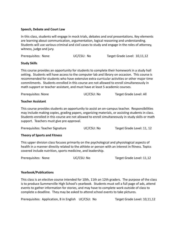#### **Speech, Debate and Court Law**

In this class, students will engage in mock trials, debates and oral presentations. Key elements are learning about communication, argumentation, logical reasoning and understanding. Students will use various criminal and civil cases to study and engage in the roles of attorney, witness, judge and jury.

| UC/CSU: No<br>Target Grade Level: 10,11,12<br>Prerequisites: None |  |  |
|-------------------------------------------------------------------|--|--|
|-------------------------------------------------------------------|--|--|

#### **Study Skills**

This course provides an opportunity for students to complete their homework in a study hall setting. Students will have access to the computer lab and library on occasion. This course is recommended for students who have extensive extra-curricular activities or other major time commitments. Students enrolled in this course are not allowed to enroll simultaneously in math support or teacher assistant, and must have at least 5 academic courses.

| Prerequisites: None | UC/CSU: No | Target Grade Level: All |
|---------------------|------------|-------------------------|
|                     |            |                         |

#### **Teacher Assistant**

This course provides students an opportunity to assist an on-campus teacher. Responsibilities may include making copies, grading papers, organizing materials, or assisting students in class. Students enrolled in this course are not allowed to enroll simultaneously in study skills or math support. Teachers must give pre-approval.

| Prerequisites: Teacher Signature | UC/CSU: No | Target Grade Level: 11, 12 |
|----------------------------------|------------|----------------------------|
|----------------------------------|------------|----------------------------|

#### **Theory of Sports and Fitness**

This upper division class focuses primarily on the psychological and physiological aspects of health in a manner directly related to the athlete or person with an interest in fitness. Topics covered include nutrition, sports medicine, and leadership.

#### **Yearbook/Publications**

This class is an elective course intended for 10th, 11th an 12th graders. The purpose of the class is to produce Summerville High School's yearbook. Students must sell a full page of ads, attend events to gather information for stories, and may have to complete work outside of class to complete a deadline. They may be asked to attend school events to take pictures.

Prerequisites: Application, B in English UC/CSU: No Target Grade Level: 10,11,12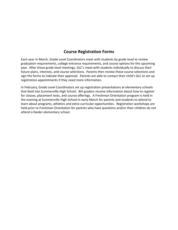### **Course Registration Forms**

Each year in March, Grade Level Coordinators meet with students by grade level to review graduation requirements, college entrance requirements, and course options for the upcoming year. After these grade level meetings, GLC's meet with students individually to discuss their future plans, interests, and course selections. Parents then review these course selections and sign the forms to indicate their approval. Parents are able to contact their child's GLC to set up registration appointments if they need more information.

In February, Grade Level Coordinators set up registration presentations at elementary schools that feed into Summerville High School. 8th graders receive information about how to register for classes, placement tests, and course offerings. A Freshman Orientation program is held in the evening at Summerville High School in early March for parents and students to attend to learn about programs, athletics and extra-curricular opportunities. Registration workshops are held prior to Freshman Orientation for parents who have questions and/or their children do not attend a feeder elementary school.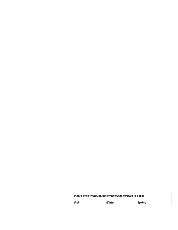| Please circle which season(s) you will be involved in a spor |        |        |  |  |
|--------------------------------------------------------------|--------|--------|--|--|
| Fall                                                         | Winter | Spring |  |  |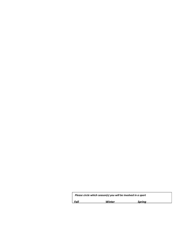| Please circle which season(s) you will be involved in a sport |        |        |  |  |
|---------------------------------------------------------------|--------|--------|--|--|
| Fall                                                          | Winter | Sprina |  |  |